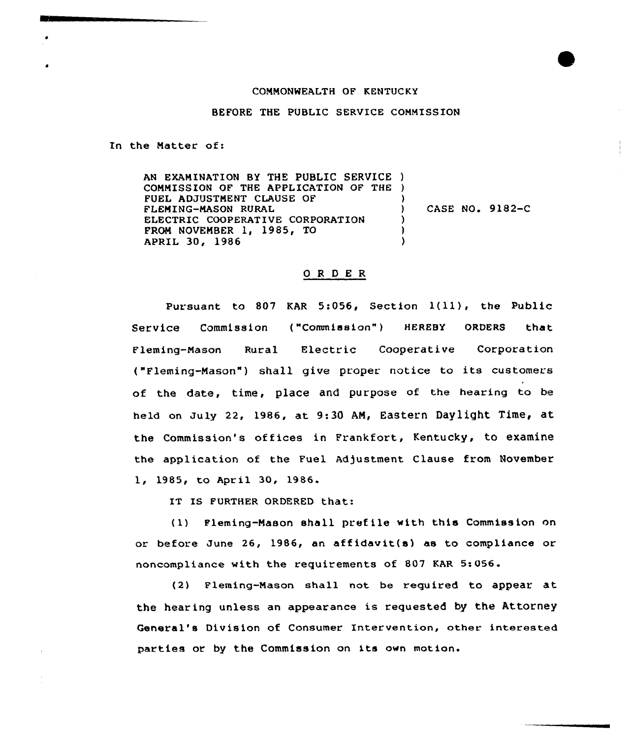## COMMONWEALTH OF KENTUCKY

BEFORE THE PUBLIC SERVICE COMMISSION

In the Matter of:

AN EXAMINATION BY THE PUBLIC SERVICE ) COMMISSION OF THE APPLICATION OF THE ) FUEL ADJUSTMENT CLAUSE OF FLEMING-MASON RURAL ELECTRIC COOPERATIVE CORPORATION FROM NOVEMBER 1, 1985, TO APRIL 30, 1986 )<br>) ) CASE NO. 9182-C  $\lambda$ ) )

## 0 <sup>R</sup> <sup>D</sup> E R

Pursuant to <sup>807</sup> KAR 5:056, Section 1(ll), the Public Service Commission ("Commission") HEREBY ORDERS that Fleming-Mason Rural Electric Cooperative Corporation ("Fleming-Mason") shall give proper notice to its customers of the date, time, place and purpose of the hearing to be held on July 22, 1986, at 9:30 AM, Eastern Daylight Time, at the Commission's offices in Frankfort, Kentucky, to examine the application of the Fuel Adjustment Clause from November 1, 1985, to April 30, 1986.

IT IS FURTHER ORDERED that:

(1) Fleming-Nason shall prefile with this Commission on or before June 26, 1986, an af fidavit(s) as to compliance or noncompliance with the requirements of 807 KAR 5:056.

(2) Fleming-Mason shall not be required to appear at the hearing unless an appearance is requested by the Attorney General's Division of Consumer Intervention, other interested parties or by the Commission on its own motion.